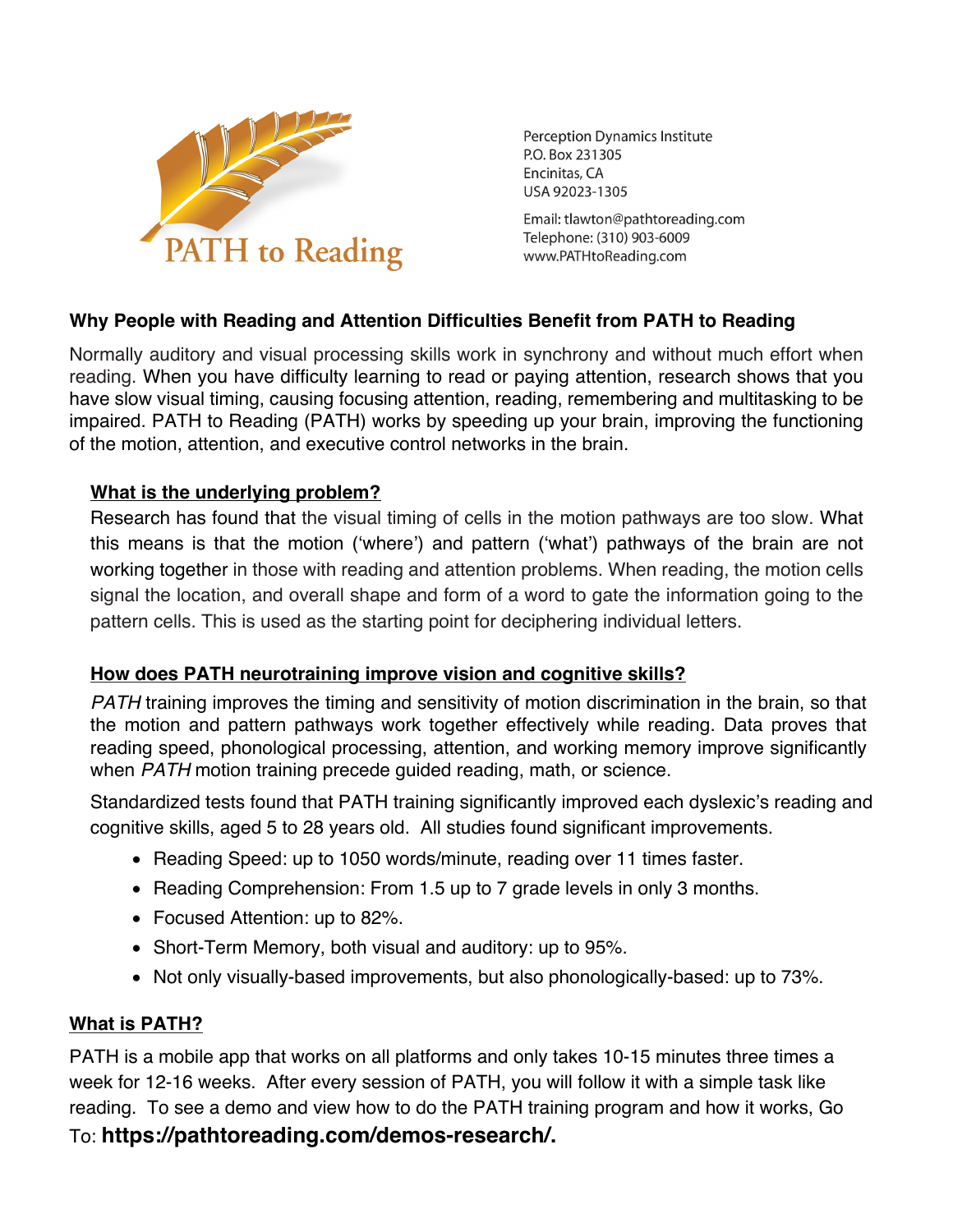

**Perception Dynamics Institute** P.O. Box 231305 Encinitas, CA USA 92023-1305

Email: tlawton@pathtoreading.com Telephone: (310) 903-6009 www.PATHtoReading.com

## **Why People with Reading and Attention Difficulties Benefit from PATH to Reading**

Normally auditory and visual processing skills work in synchrony and without much effort when reading. When you have difficulty learning to read or paying attention, research shows that you have slow visual timing, causing focusing attention, reading, remembering and multitasking to be impaired. PATH to Reading (PATH) works by speeding up your brain, improving the functioning of the motion, attention, and executive control networks in the brain.

## **What is the underlying problem?**

Research has found that the visual timing of cells in the motion pathways are too slow. What this means is that the motion ('where') and pattern ('what') pathways of the brain are not working together in those with reading and attention problems. When reading, the motion cells signal the location, and overall shape and form of a word to gate the information going to the pattern cells. This is used as the starting point for deciphering individual letters.

## **How does PATH neurotraining improve vision and cognitive skills?**

*PATH* training improves the timing and sensitivity of motion discrimination in the brain, so that the motion and pattern pathways work together effectively while reading. Data proves that reading speed, phonological processing, attention, and working memory improve significantly when *PATH* motion training precede guided reading, math, or science.

Standardized tests found that PATH training significantly improved each dyslexic's reading and cognitive skills, aged 5 to 28 years old. All studies found significant improvements.

- Reading Speed: up to 1050 words/minute, reading over 11 times faster.
- Reading Comprehension: From 1.5 up to 7 grade levels in only 3 months.
- Focused Attention: up to 82%.
- Short-Term Memory, both visual and auditory: up to 95%.
- Not only visually-based improvements, but also phonologically-based: up to 73%.

# **What is PATH?**

PATH is a mobile app that works on all platforms and only takes 10-15 minutes three times a week for 12-16 weeks. After every session of PATH, you will follow it with a simple task like reading. To see a demo and view how to do the PATH training program and how it works, Go To: **https://pathtoreading.com/demos-research/.**